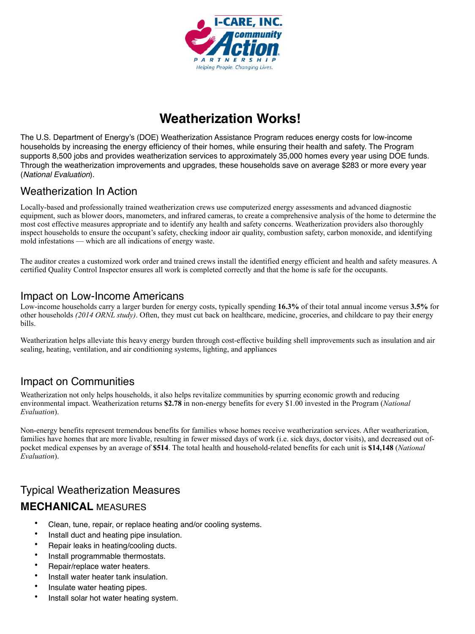

# **Weatherization Works!**

The U.S. Department of Energy's (DOE) Weatherization Assistance Program reduces energy costs for low-income households by increasing the energy efficiency of their homes, while ensuring their health and safety. The Program supports 8,500 jobs and provides weatherization services to approximately 35,000 homes every year using DOE funds. Through the weatherization improvements and upgrades, these households save on average \$283 or more every year (*National Evaluation*).

### Weatherization In Action

Locally-based and professionally trained weatherization crews use computerized energy assessments and advanced diagnostic equipment, such as blower doors, manometers, and infrared cameras, to create a comprehensive analysis of the home to determine the most cost effective measures appropriate and to identify any health and safety concerns. Weatherization providers also thoroughly inspect households to ensure the occupant's safety, checking indoor air quality, combustion safety, carbon monoxide, and identifying mold infestations — which are all indications of energy waste.

The auditor creates a customized work order and trained crews install the identified energy efficient and health and safety measures. A certified Quality Control Inspector ensures all work is completed correctly and that the home is safe for the occupants.

#### Impact on Low-Income Americans

Low-income households carry a larger burden for energy costs, typically spending **16.3%** of their total annual income versus **3.5%** for other households *(2014 ORNL study)*. Often, they must cut back on healthcare, medicine, groceries, and childcare to pay their energy bills.

Weatherization helps alleviate this heavy energy burden through cost-effective building shell improvements such as insulation and air sealing, heating, ventilation, and air conditioning systems, lighting, and appliances

#### Impact on Communities

Weatherization not only helps households, it also helps revitalize communities by spurring economic growth and reducing environmental impact. Weatherization returns **\$2.78** in non-energy benefits for every \$1.00 invested in the Program (*National Evaluation*).

Non-energy benefits represent tremendous benefits for families whose homes receive weatherization services. After weatherization, families have homes that are more livable, resulting in fewer missed days of work (i.e. sick days, doctor visits), and decreased out ofpocket medical expenses by an average of **\$514**. The total health and household-related benefits for each unit is **\$14,148** (*National Evaluation*).

# Typical Weatherization Measures **MECHANICAL** MEASURES

- Clean, tune, repair, or replace heating and/or cooling systems.
- Install duct and heating pipe insulation.
- Repair leaks in heating/cooling ducts.
- Install programmable thermostats.
- Repair/replace water heaters.
- Install water heater tank insulation.
- Insulate water heating pipes.
- Install solar hot water heating system.